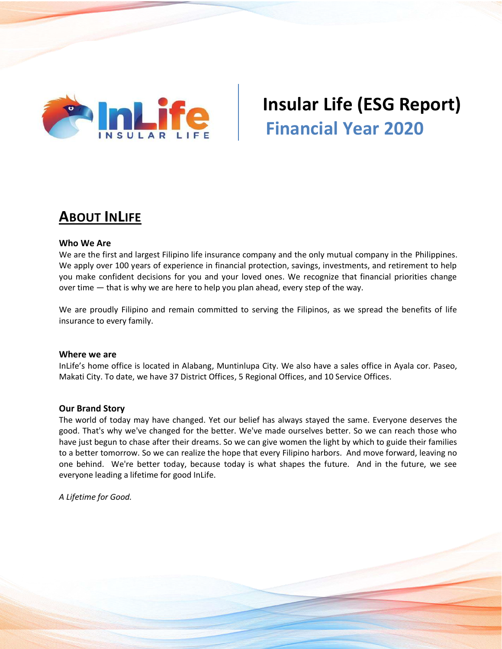

# **Insular Life (ESG Report) Financial Year 2020**

### **ABOUT INLIFE**

#### **Who We Are**

We are the first and largest Filipino life insurance company and the only mutual company in the Philippines. We apply over 100 years of experience in financial protection, savings, investments, and retirement to help you make confident decisions for you and your loved ones. We recognize that financial priorities change over time — that is why we are here to help you plan ahead, every step of the way.

We are proudly Filipino and remain committed to serving the Filipinos, as we spread the benefits of life insurance to every family.

#### **Where we are**

InLife's home office is located in Alabang, Muntinlupa City. We also have a sales office in Ayala cor. Paseo, Makati City. To date, we have 37 District Offices, 5 Regional Offices, and 10 Service Offices.

#### **Our Brand Story**

The world of today may have changed. Yet our belief has always stayed the same. Everyone deserves the good. That's why we've changed for the better. We've made ourselves better. So we can reach those who have just begun to chase after their dreams. So we can give women the light by which to guide their families to a better tomorrow. So we can realize the hope that every Filipino harbors. And move forward, leaving no one behind. We're better today, because today is what shapes the future. And in the future, we see everyone leading a lifetime for good InLife.

*A Lifetime for Good.*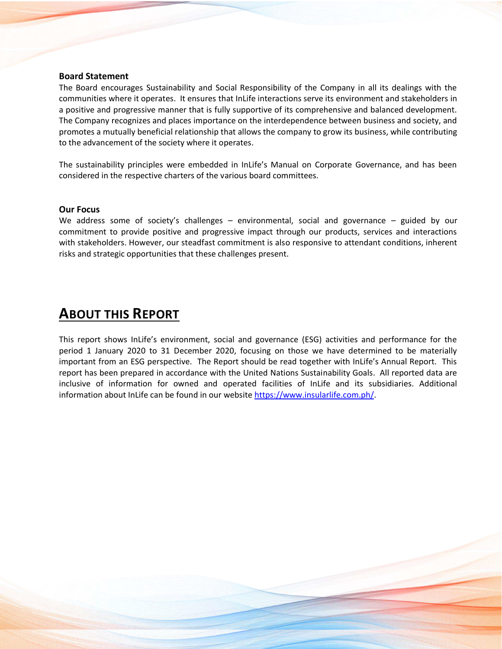#### **Board Statement**

The Board encourages Sustainability and Social Responsibility of the Company in all its dealings with the communities where it operates. It ensures that InLife interactions serve its environment and stakeholders in a positive and progressive manner that is fully supportive of its comprehensive and balanced development. The Company recognizes and places importance on the interdependence between business and society, and promotes a mutually beneficial relationship that allows the company to grow its business, while contributing to the advancement of the society where it operates.

The sustainability principles were embedded in InLife's Manual on Corporate Governance, and has been considered in the respective charters of the various board committees.

#### **Our Focus**

We address some of society's challenges – environmental, social and governance – guided by our commitment to provide positive and progressive impact through our products, services and interactions with stakeholders. However, our steadfast commitment is also responsive to attendant conditions, inherent risks and strategic opportunities that these challenges present.

### **ABOUT THIS REPORT**

This report shows InLife's environment, social and governance (ESG) activities and performance for the period 1 January 2020 to 31 December 2020, focusing on those we have determined to be materially important from an ESG perspective. The Report should be read together with InLife's Annual Report. This report has been prepared in accordance with the United Nations Sustainability Goals. All reported data are inclusive of information for owned and operated facilities of InLife and its subsidiaries. Additional information about InLife can be found in our website [https://www.insularlife.com.ph/.](https://www.insularlife.com.ph/)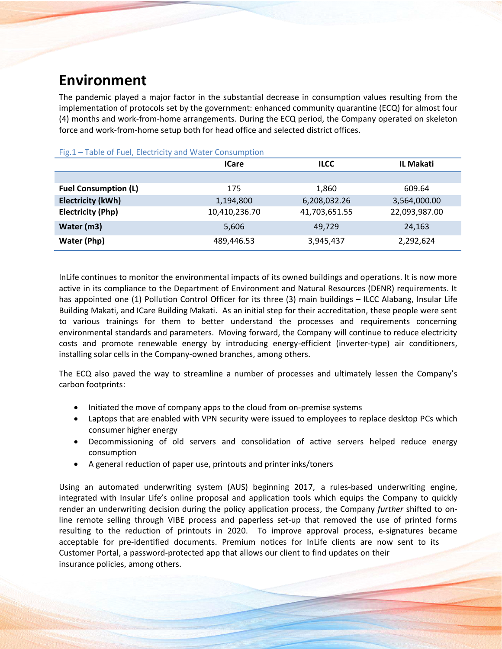### **Environment**

The pandemic played a major factor in the substantial decrease in consumption values resulting from the implementation of protocols set by the government: enhanced community quarantine (ECQ) for almost four (4) months and work-from-home arrangements. During the ECQ period, the Company operated on skeleton force and work-from-home setup both for head office and selected district offices.

| TUDIO UT TUCH LICULIUIT UNU TTULCI CUNDUNIU UNI | <b>ICare</b>  | <b>ILCC</b>   |               |  |  |  |
|-------------------------------------------------|---------------|---------------|---------------|--|--|--|
|                                                 |               |               |               |  |  |  |
| <b>Fuel Consumption (L)</b>                     | 175           | 1,860         | 609.64        |  |  |  |
| <b>Electricity (kWh)</b>                        | 1,194,800     | 6,208,032.26  | 3,564,000.00  |  |  |  |
| <b>Electricity (Php)</b>                        | 10,410,236.70 | 41,703,651.55 | 22,093,987.00 |  |  |  |
| Water (m3)                                      | 5,606         | 49.729        | 24,163        |  |  |  |
| Water (Php)                                     | 489,446.53    | 3,945,437     | 2,292,624     |  |  |  |

#### Fig.1 – Table of Fuel, Electricity and Water Consumption

InLife continues to monitor the environmental impacts of its owned buildings and operations. It is now more active in its compliance to the Department of Environment and Natural Resources (DENR) requirements. It has appointed one (1) Pollution Control Officer for its three (3) main buildings – ILCC Alabang, Insular Life Building Makati, and ICare Building Makati. As an initial step for their accreditation, these people were sent to various trainings for them to better understand the processes and requirements concerning environmental standards and parameters. Moving forward, the Company will continue to reduce electricity costs and promote renewable energy by introducing energy-efficient (inverter-type) air conditioners, installing solar cells in the Company-owned branches, among others.

The ECQ also paved the way to streamline a number of processes and ultimately lessen the Company's carbon footprints:

- Initiated the move of company apps to the cloud from on-premise systems
- Laptops that are enabled with VPN security were issued to employees to replace desktop PCs which consumer higher energy
- Decommissioning of old servers and consolidation of active servers helped reduce energy consumption
- A general reduction of paper use, printouts and printer inks/toners

Using an automated underwriting system (AUS) beginning 2017, a rules-based underwriting engine, integrated with Insular Life's online proposal and application tools which equips the Company to quickly render an underwriting decision during the policy application process, the Company *further* shifted to online remote selling through VIBE process and paperless set-up that removed the use of printed forms resulting to the reduction of printouts in 2020. To improve approval process, e-signatures became acceptable for pre-identified documents. Premium notices for InLife clients are now sent to its Customer Portal, a password-protected app that allows our client to find updates on their insurance policies, among others.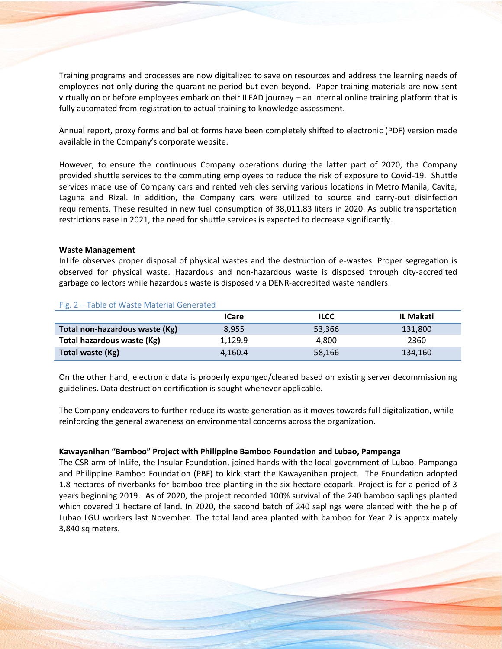Training programs and processes are now digitalized to save on resources and address the learning needs of employees not only during the quarantine period but even beyond. Paper training materials are now sent virtually on or before employees embark on their ILEAD journey – an internal online training platform that is fully automated from registration to actual training to knowledge assessment.

Annual report, proxy forms and ballot forms have been completely shifted to electronic (PDF) version made available in the Company's corporate website.

However, to ensure the continuous Company operations during the latter part of 2020, the Company provided shuttle services to the commuting employees to reduce the risk of exposure to Covid-19. Shuttle services made use of Company cars and rented vehicles serving various locations in Metro Manila, Cavite, Laguna and Rizal. In addition, the Company cars were utilized to source and carry-out disinfection requirements. These resulted in new fuel consumption of 38,011.83 liters in 2020. As public transportation restrictions ease in 2021, the need for shuttle services is expected to decrease significantly.

#### **Waste Management**

InLife observes proper disposal of physical wastes and the destruction of e-wastes. Proper segregation is observed for physical waste. Hazardous and non-hazardous waste is disposed through city-accredited garbage collectors while hazardous waste is disposed via DENR-accredited waste handlers.

|                                | <b>ICare</b> | <b>ILCC</b> | IL Makati |
|--------------------------------|--------------|-------------|-----------|
| Total non-hazardous waste (Kg) | 8.955        | 53,366      | 131,800   |
| Total hazardous waste (Kg)     | 1,129.9      | 4.800       | 2360      |
| Total waste (Kg)               | 4.160.4      | 58,166      | 134,160   |

#### Fig. 2 – Table of Waste Material Generated

On the other hand, electronic data is properly expunged/cleared based on existing server decommissioning guidelines. Data destruction certification is sought whenever applicable.

The Company endeavors to further reduce its waste generation as it moves towards full digitalization, while reinforcing the general awareness on environmental concerns across the organization.

#### **Kawayanihan "Bamboo" Project with Philippine Bamboo Foundation and Lubao, Pampanga**

The CSR arm of InLife, the Insular Foundation, joined hands with the local government of Lubao, Pampanga and Philippine Bamboo Foundation (PBF) to kick start the Kawayanihan project. The Foundation adopted 1.8 hectares of riverbanks for bamboo tree planting in the six-hectare ecopark. Project is for a period of 3 years beginning 2019. As of 2020, the project recorded 100% survival of the 240 bamboo saplings planted which covered 1 hectare of land. In 2020, the second batch of 240 saplings were planted with the help of Lubao LGU workers last November. The total land area planted with bamboo for Year 2 is approximately 3,840 sq meters.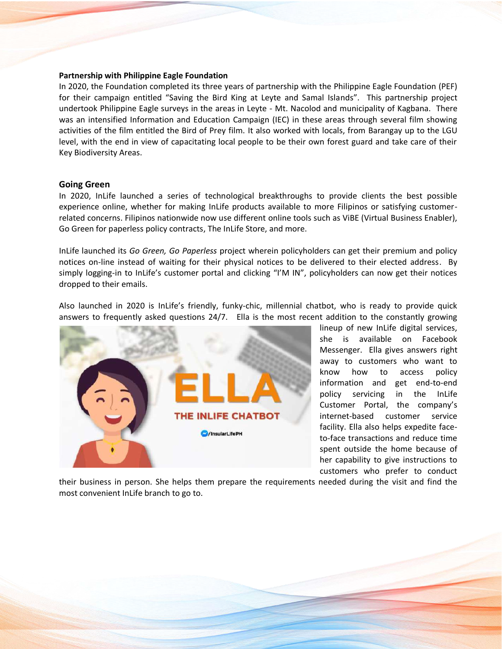#### **Partnership with Philippine Eagle Foundation**

In 2020, the Foundation completed its three years of partnership with the Philippine Eagle Foundation (PEF) for their campaign entitled "Saving the Bird King at Leyte and Samal Islands". This partnership project undertook Philippine Eagle surveys in the areas in Leyte - Mt. Nacolod and municipality of Kagbana. There was an intensified Information and Education Campaign (IEC) in these areas through several film showing activities of the film entitled the Bird of Prey film. It also worked with locals, from Barangay up to the LGU level, with the end in view of capacitating local people to be their own forest guard and take care of their Key Biodiversity Areas.

#### **Going Green**

In 2020, InLife launched a series of technological breakthroughs to provide clients the best possible experience online, whether for making InLife products available to more Filipinos or satisfying customerrelated concerns. Filipinos nationwide now use different online tools such as ViBE (Virtual Business Enabler), Go Green for paperless policy contracts, The InLife Store, and more.

InLife launched its *Go Green, Go Paperless* project wherein policyholders can get their premium and policy notices on-line instead of waiting for their physical notices to be delivered to their elected address. By simply logging-in to InLife's customer portal and clicking "I'M IN", policyholders can now get their notices dropped to their emails.

Also launched in 2020 is InLife's friendly, funky-chic, millennial chatbot, who is ready to provide quick answers to frequently asked questions 24/7. Ella is the most recent addition to the constantly growing



lineup of new InLife digital services, she is available on Facebook Messenger. Ella gives answers right away to customers who want to know how to access policy information and get end-to-end policy servicing in the InLife Customer Portal, the company's internet-based customer service facility. Ella also helps expedite faceto-face transactions and reduce time spent outside the home because of her capability to give instructions to customers who prefer to conduct

their business in person. She helps them prepare the requirements needed during the visit and find the most convenient InLife branch to go to.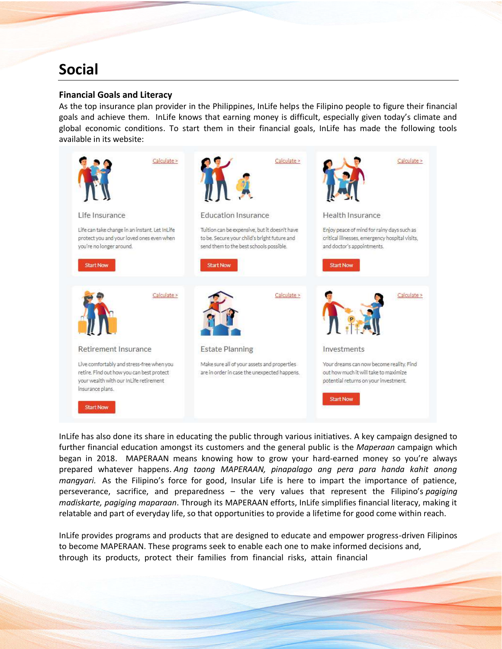## **Social**

#### **Financial Goals and Literacy**

As the top insurance plan provider in the Philippines, InLife helps the Filipino people to figure their financial goals and achieve them. InLife knows that earning money is difficult, especially given today's climate and global economic conditions. To start them in their financial goals, InLife has made the following tools available in its website:



InLife has also done its share in educating the public through various initiatives. A key campaign designed to further financial education amongst its customers and the general public is the *Maperaan* campaign which began in 2018. MAPERAAN means knowing how to grow your hard-earned money so you're always prepared whatever happens. *Ang taong MAPERAAN, pinapalago ang pera para handa kahit anong mangyari.* As the Filipino's force for good, Insular Life is here to impart the importance of patience, perseverance, sacrifice, and preparedness – the very values that represent the Filipino's *pagiging madiskarte, pagiging maparaan*. Through its MAPERAAN efforts, InLife simplifies financial literacy, making it relatable and part of everyday life, so that opportunities to provide a lifetime for good come within reach.

InLife provides programs and products that are designed to educate and empower progress-driven Filipinos to become MAPERAAN. These programs seek to enable each one to make informed decisions and, through its products, protect their families from financial risks, attain financial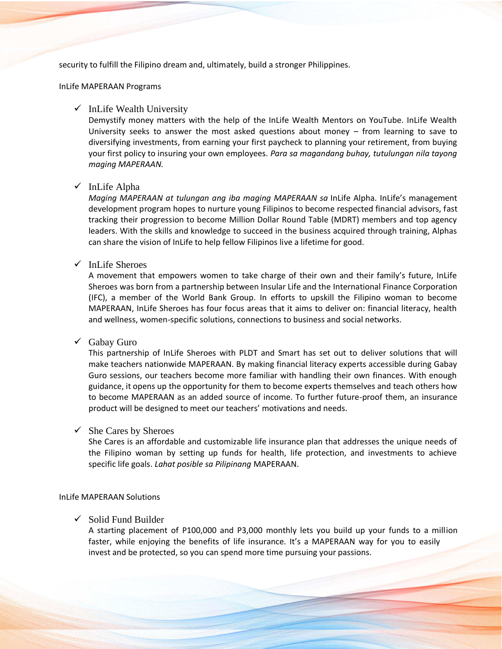security to fulfill the Filipino dream and, ultimately, build a stronger Philippines.

#### InLife MAPERAAN Programs

#### $\checkmark$  InLife Wealth [University](https://www.youtube.com/inlifewealthuniversity)

Demystify money matters with the help of the InLife Wealth Mentors on YouTube. InLife Wealth University seeks to answer the most asked questions about money – from learning to save to diversifying investments, from earning your first paycheck to planning your retirement, from buying your first policy to insuring your own employees*. Para sa magandang buhay, tutulungan nila tayong maging MAPERAAN.*

#### ✓ [InLife](https://www.insularlife.com.ph/become-a-financial-advisor) Alpha

*Maging MAPERAAN at tulungan ang iba maging MAPERAAN sa* InLife Alpha. InLife's management development program hopes to nurture young Filipinos to become respected financial advisors, fast tracking their progression to become Million Dollar Round Table (MDRT) members and top agency leaders. With the skills and knowledge to succeed in the business acquired through training, Alphas can share the vision of InLife to help fellow Filipinos live a lifetime for good.

#### $\checkmark$  InLife [Sheroes](https://www.inlifesheroes.com/)

A movement that empowers women to take charge of their own and their family's future, InLife Sheroes was born from a partnership between Insular Life and the International Finance Corporation (IFC), a member of the World Bank Group. In efforts to upskill the Filipino woman to become MAPERAAN, InLife Sheroes has four focus areas that it aims to deliver on: financial literacy, health and wellness, women-specific solutions, connections to business and social networks.

### ✓ [Gabay](https://www.insularlife.com.ph/news/inlife-sheroes-teams-up-with-pldt-gabayguro-158) Guro

This partnership of InLife Sheroes with PLDT and Smart has set out to deliver solutions that will make teachers nationwide MAPERAAN. By making financial literacy experts accessible during Gabay Guro sessions, our teachers become more familiar with handling their own finances. With enough guidance, it opens up the opportunity for them to become experts themselves and teach others how to become MAPERAAN as an added source of income. To further future-proof them, an insurance product will be designed to meet our teachers' motivations and needs.

#### $\checkmark$  She Cares by [Sheroes](https://www.insularlife.com.ph/she-cares)

She Cares is an affordable and customizable life insurance plan that addresses the unique needs of the Filipino woman by setting up funds for health, life protection, and investments to achieve specific life goals. *Lahat posible sa Pilipinang* MAPERAAN.

#### InLife MAPERAAN Solutions

#### $\checkmark$  Solid Fund [Builder](https://www.insularlife.com.ph/solidfundbuilder)

A starting placement of P100,000 and P3,000 monthly lets you build up your funds to a million faster, while enjoying the benefits of life insurance. It's a MAPERAAN way for you to easily invest and be protected, so you can spend more time pursuing your passions.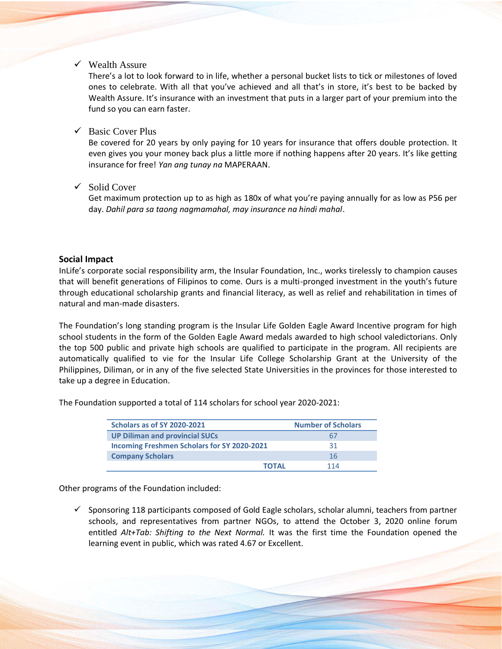$\checkmark$  [Wealth](https://www.insularlife.com.ph/wealth-assure) Assure

There's a lot to look forward to in life, whether a personal bucket lists to tick or milestones of loved ones to celebrate. With all that you've achieved and all that's in store, it's best to be backed by Wealth Assure. It's insurance with an investment that puts in a larger part of your premium into the fund so you can earn faster.

 $\checkmark$  Basic [Cover](https://www.insularlife.com.ph/basic-cover-plus) Plus

Be covered for 20 years by only paying for 10 years for insurance that offers double protection. It even gives you your money back plus a little more if nothing happens after 20 years. It's like getting insurance for free! *Yan ang tunay na* MAPERAAN.

✓ Solid [Cover](https://www.insularlife.com.ph/solid-cover)

Get maximum protection up to as high as 180x of what you're paying annually for as low as P56 per day. *Dahil para sa taong nagmamahal, may insurance na hindi mahal*.

#### **Social Impact**

InLife's corporate social responsibility arm, the Insular Foundation, Inc., works tirelessly to champion causes that will benefit generations of Filipinos to come. Ours is a multi-pronged investment in the youth's future through educational scholarship grants and financial literacy, as well as relief and rehabilitation in times of natural and man-made disasters.

The Foundation's long standing program is the Insular Life Golden Eagle Award Incentive program for high school students in the form of the Golden Eagle Award medals awarded to high school valedictorians. Only the top 500 public and private high schools are qualified to participate in the program. All recipients are automatically qualified to vie for the Insular Life College Scholarship Grant at the University of the Philippines, Diliman, or in any of the five selected State Universities in the provinces for those interested to take up a degree in Education.

The Foundation supported a total of 114 scholars for school year 2020-2021:

| Scholars as of SY 2020-2021                        | <b>Number of Scholars</b> |
|----------------------------------------------------|---------------------------|
| <b>UP Diliman and provincial SUCs</b>              | 67                        |
| <b>Incoming Freshmen Scholars for SY 2020-2021</b> | 31                        |
| <b>Company Scholars</b>                            | 16                        |
| <b>TOTAL</b>                                       | 114                       |

Other programs of the Foundation included:

 $\checkmark$  Sponsoring 118 participants composed of Gold Eagle scholars, scholar alumni, teachers from partner schools, and representatives from partner NGOs, to attend the October 3, 2020 online forum entitled *Alt+Tab: Shifting to the Next Normal.* It was the first time the Foundation opened the learning event in public, which was rated 4.67 or Excellent.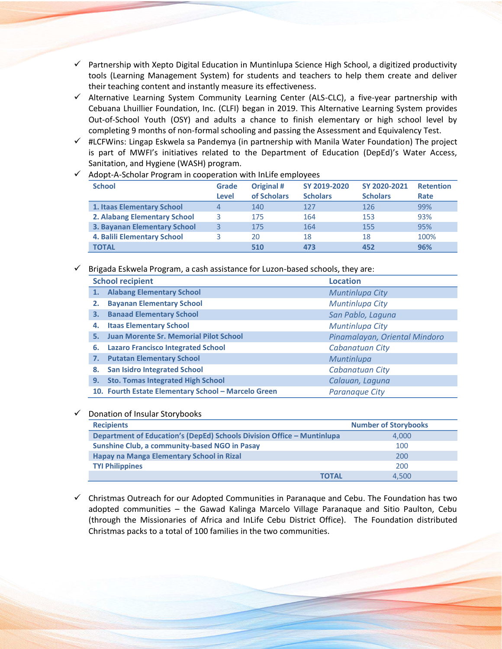- $\checkmark$  Partnership with Xepto Digital Education in Muntinlupa Science High School, a digitized productivity tools (Learning Management System) for students and teachers to help them create and deliver their teaching content and instantly measure its effectiveness.
- $\checkmark$  Alternative Learning System Community Learning Center (ALS-CLC), a five-year partnership with Cebuana Lhuillier Foundation, Inc. (CLFI) began in 2019. This Alternative Learning System provides Out-of-School Youth (OSY) and adults a chance to finish elementary or high school level by completing 9 months of non-formal schooling and passing the Assessment and Equivalency Test.
- $\checkmark$  #LCFWins: Lingap Eskwela sa Pandemya (in partnership with Manila Water Foundation) The project is part of MWFI's initiatives related to the Department of Education (DepEd)'s Water Access, Sanitation, and Hygiene (WASH) program.

| <b>School</b>                       | Grade | Original #  | SY 2019-2020    | SY 2020-2021    | <b>Retention</b> |
|-------------------------------------|-------|-------------|-----------------|-----------------|------------------|
|                                     | Level | of Scholars | <b>Scholars</b> | <b>Scholars</b> | Rate             |
| 1. Itaas Elementary School          |       | 140         | 127             | 126             | 99%              |
| 2. Alabang Elementary School        |       | 175         | 164             | 153             | 93%              |
| <b>3. Bayanan Elementary School</b> |       | 175         | 164             | 155             | 95%              |
| 4. Balili Elementary School         |       | 20          | 18              | 18              | 100%             |
| <b>TOTAL</b>                        |       | 510         | 473             | 452             | 96%              |

 $\checkmark$  Adopt-A-Scholar Program in cooperation with InLife employees

#### $\checkmark$  Brigada Eskwela Program, a cash assistance for Luzon-based schools, they are:

|    | <b>School recipient</b>                             | <b>Location</b>               |
|----|-----------------------------------------------------|-------------------------------|
| 1. | <b>Alabang Elementary School</b>                    | Muntinlupa City               |
| 2. | <b>Bayanan Elementary School</b>                    | Muntinlupa City               |
| З. | <b>Banaad Elementary School</b>                     | San Pablo, Laguna             |
| 4. | <b>Itaas Elementary School</b>                      | Muntinlupa City               |
| 5. | <b>Juan Morente Sr. Memorial Pilot School</b>       | Pinamalayan, Oriental Mindoro |
| 6. | <b>Lazaro Francisco Integrated School</b>           | Cabanatuan City               |
| 7. | <b>Putatan Elementary School</b>                    | Muntinlupa                    |
| 8. | <b>San Isidro Integrated School</b>                 | <b>Cabanatuan City</b>        |
| 9. | <b>Sto. Tomas Integrated High School</b>            | Calauan, Laguna               |
|    | 10. Fourth Estate Elementary School - Marcelo Green | Paranague City                |

#### ✓ Donation of Insular Storybooks

| <b>Recipients</b>                                                      | <b>Number of Storybooks</b> |
|------------------------------------------------------------------------|-----------------------------|
| Department of Education's (DepEd) Schools Division Office - Muntinlupa | 4.000                       |
| <b>Sunshine Club, a community-based NGO in Pasay</b>                   | 100                         |
| Hapay na Manga Elementary School in Rizal                              | 200                         |
| <b>TYI Philippines</b>                                                 | 200                         |
| ΤΟΤΑΙ                                                                  | 4.500                       |

 $\checkmark$  Christmas Outreach for our Adopted Communities in Paranaque and Cebu. The Foundation has two adopted communities – the Gawad Kalinga Marcelo Village Paranaque and Sitio Paulton, Cebu (through the Missionaries of Africa and InLife Cebu District Office). The Foundation distributed Christmas packs to a total of 100 families in the two communities.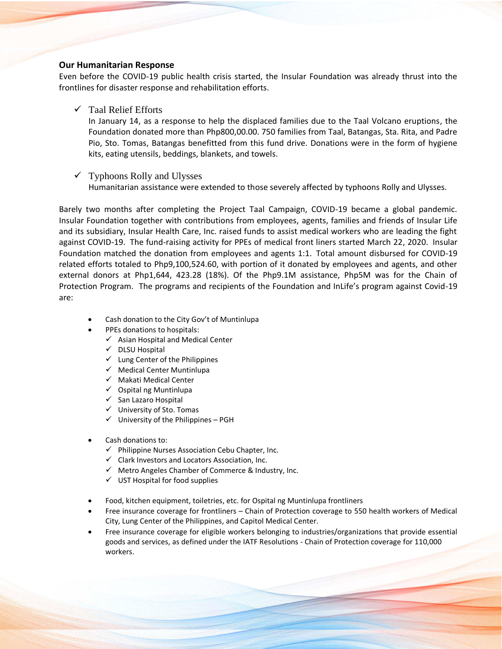#### **Our Humanitarian Response**

Even before the COVID-19 public health crisis started, the Insular Foundation was already thrust into the frontlines for disaster response and rehabilitation efforts.

✓ Taal Relief Efforts

In January 14, as a response to help the displaced families due to the Taal Volcano eruptions, the Foundation donated more than Php800,00.00. 750 families from Taal, Batangas, Sta. Rita, and Padre Pio, Sto. Tomas, Batangas benefitted from this fund drive. Donations were in the form of hygiene kits, eating utensils, beddings, blankets, and towels.

#### $\checkmark$  Typhoons Rolly and Ulysses

Humanitarian assistance were extended to those severely affected by typhoons Rolly and Ulysses.

Barely two months after completing the Project Taal Campaign, COVID-19 became a global pandemic. Insular Foundation together with contributions from employees, agents, families and friends of Insular Life and its subsidiary, Insular Health Care, Inc. raised funds to assist medical workers who are leading the fight against COVID-19. The fund-raising activity for PPEs of medical front liners started March 22, 2020. Insular Foundation matched the donation from employees and agents 1:1. Total amount disbursed for COVID-19 related efforts totaled to Php9,100,524.60, with portion of it donated by employees and agents, and other external donors at Php1,644, 423.28 (18%). Of the Php9.1M assistance, Php5M was for the Chain of Protection Program. The programs and recipients of the Foundation and InLife's program against Covid-19 are:

- Cash donation to the City Gov't of Muntinlupa
- PPEs donations to hospitals:
	- $\checkmark$  Asian Hospital and Medical Center
	- ✓ DLSU Hospital
	- $\checkmark$  Lung Center of the Philippines
	- $\checkmark$  Medical Center Muntinlupa
	- ✓ Makati Medical Center
	- $\checkmark$  Ospital ng Muntinlupa
	- ✓ San Lazaro Hospital
	- ✓ University of Sto. Tomas
	- $\checkmark$  University of the Philippines PGH
- Cash donations to:
	- $\checkmark$  Philippine Nurses Association Cebu Chapter, Inc.
	- $\checkmark$  Clark Investors and Locators Association, Inc.
	- $\checkmark$  Metro Angeles Chamber of Commerce & Industry, Inc.
	- $\checkmark$  UST Hospital for food supplies
- Food, kitchen equipment, toiletries, etc. for Ospital ng Muntinlupa frontliners
- Free insurance coverage for frontliners Chain of Protection coverage to 550 health workers of Medical City, Lung Center of the Philippines, and Capitol Medical Center.
- Free insurance coverage for eligible workers belonging to industries/organizations that provide essential goods and services, as defined under the IATF Resolutions - Chain of Protection coverage for 110,000 workers.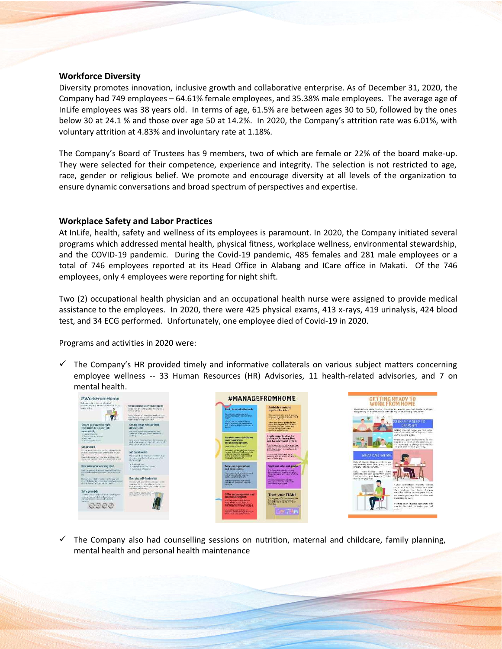#### **Workforce Diversity**

Diversity promotes innovation, inclusive growth and collaborative enterprise. As of December 31, 2020, the Company had 749 employees – 64.61% female employees, and 35.38% male employees. The average age of InLife employees was 38 years old. In terms of age, 61.5% are between ages 30 to 50, followed by the ones below 30 at 24.1 % and those over age 50 at 14.2%. In 2020, the Company's attrition rate was 6.01%, with voluntary attrition at 4.83% and involuntary rate at 1.18%.

The Company's Board of Trustees has 9 members, two of which are female or 22% of the board make-up. They were selected for their competence, experience and integrity. The selection is not restricted to age, race, gender or religious belief. We promote and encourage diversity at all levels of the organization to ensure dynamic conversations and broad spectrum of perspectives and expertise.

### **Workplace Safety and Labor Practices**

At InLife, health, safety and wellness of its employees is paramount. In 2020, the Company initiated several programs which addressed mental health, physical fitness, workplace wellness, environmental stewardship, and the COVID-19 pandemic. During the Covid-19 pandemic, 485 females and 281 male employees or a total of 746 employees reported at its Head Office in Alabang and ICare office in Makati. Of the 746 employees, only 4 employees were reporting for night shift.

Two (2) occupational health physician and an occupational health nurse were assigned to provide medical assistance to the employees. In 2020, there were 425 physical exams, 413 x-rays, 419 urinalysis, 424 blood test, and 34 ECG performed. Unfortunately, one employee died of Covid-19 in 2020.

Programs and activities in 2020 were:

 $\checkmark$  The Company's HR provided timely and informative collaterals on various subject matters concerning employee wellness -- 33 Human Resources (HR) Advisories, 11 health-related advisories, and 7 on mental health.



 $\checkmark$  The Company also had counselling sessions on nutrition, maternal and childcare, family planning, mental health and personal health maintenance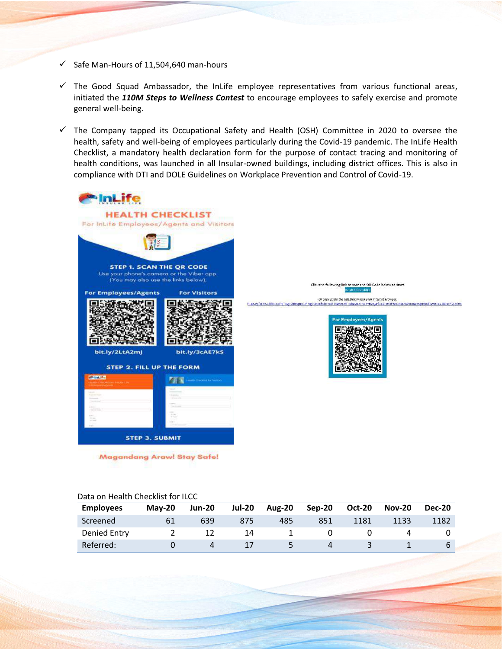- $\checkmark$  Safe Man-Hours of 11,504,640 man-hours
- $\checkmark$  The Good Squad Ambassador, the InLife employee representatives from various functional areas, initiated the *110M Steps to Wellness Contest* to encourage employees to safely exercise and promote general well-being.
- ✓ The Company tapped its Occupational Safety and Health (OSH) Committee in 2020 to oversee the health, safety and well-being of employees particularly during the Covid-19 pandemic. The InLife Health Checklist, a mandatory health declaration form for the purpose of contact tracing and monitoring of health conditions, was launched in all Insular-owned buildings, including district offices. This is also in compliance with DTI and DOLE Guidelines on Workplace Prevention and Control of Covid-19.



**Magandang Arawl Stay Safe!** 

Click the following link or scan the QR Code below to start.

#### Data on Health Checklist for ILCC

| <b>Employees</b> | $Mav-20$ | <b>Jun-20</b> | <b>Jul-20</b> | <b>Aug-20</b> | Sep-20 | <b>Oct-20</b> | <b>Nov-20</b> | <b>Dec-20</b> |
|------------------|----------|---------------|---------------|---------------|--------|---------------|---------------|---------------|
| Screened         |          | 639           | 875           | 485           | 851    | 1181          | 1133          | 1182          |
| Denied Entry     |          |               | 14            |               |        |               |               |               |
| Referred:        |          | 4             |               |               |        |               |               |               |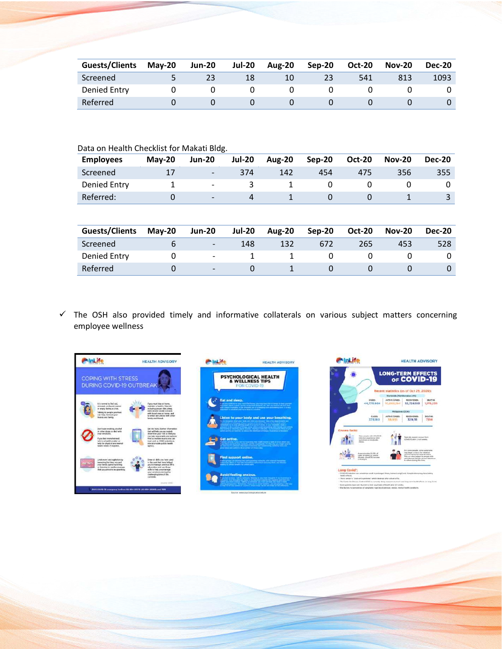| <b>Guests/Clients</b> | $Mav-20$ | <b>Jun-20</b> | <b>Jul-20</b> | <b>Aug-20</b> | $Sep-20$ | <b>Oct-20</b> | <b>Nov-20</b> | <b>Dec-20</b> |
|-----------------------|----------|---------------|---------------|---------------|----------|---------------|---------------|---------------|
| Screened              |          |               |               | 10            | 23       | 541           |               | 1093          |
| Denied Entry          |          |               |               |               |          |               |               |               |
| Referred              |          |               |               |               |          |               |               |               |

| Data on Health Checklist for Makati Bldg. |          |                          |               |               |          |               |               |               |  |
|-------------------------------------------|----------|--------------------------|---------------|---------------|----------|---------------|---------------|---------------|--|
| <b>Employees</b>                          | $Mav-20$ | <b>Jun-20</b>            | <b>Jul-20</b> | <b>Aug-20</b> | $Sep-20$ | <b>Oct-20</b> | <b>Nov-20</b> | <b>Dec-20</b> |  |
| Screened                                  | 17       | $\overline{\phantom{a}}$ | 374           | 142           | 454      | 475           | 356           | 355           |  |
| Denied Entry                              |          | $\overline{\phantom{a}}$ | 3             |               | 0        |               |               |               |  |
| Referred:                                 | $\Omega$ | $\overline{\phantom{a}}$ | 4             |               | $\Omega$ |               |               | 3             |  |
|                                           |          |                          |               |               |          |               |               |               |  |

| <b>Guests/Clients</b> | $Mav-20$ | <b>Jun-20</b>            | <b>Jul-20</b> | <b>Aug-20</b> | Sep-20 | <b>Oct-20</b> | <b>Nov-20</b> | <b>Dec-20</b> |
|-----------------------|----------|--------------------------|---------------|---------------|--------|---------------|---------------|---------------|
| Screened              |          | $\overline{\phantom{0}}$ | 148           | 132           | 672    | 265           | 453           | 528           |
| Denied Entry          |          | -                        |               |               |        |               |               |               |
| Referred              |          | $\overline{\phantom{0}}$ |               |               |        |               |               |               |

✓ The OSH also provided timely and informative collaterals on various subject matters concerning employee wellness





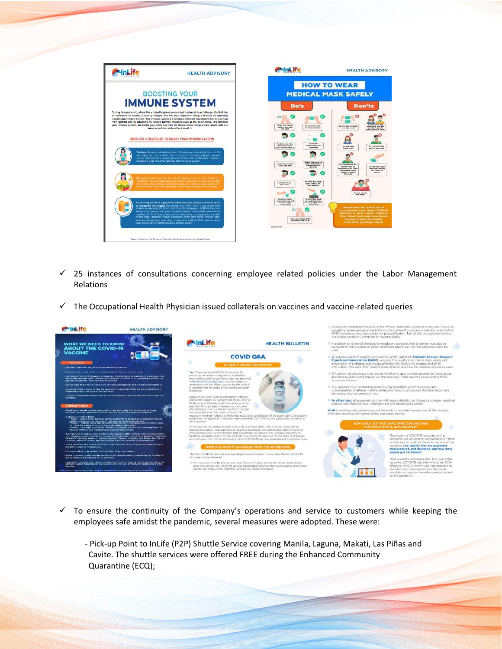

- $\checkmark$  25 instances of consultations concerning employee related policies under the Labor Management Relations
- ✓ The Occupational Health Physician issued collaterals on vaccines and vaccine-related queries



- $\checkmark$  To ensure the continuity of the Company's operations and service to customers while keeping the employees safe amidst the pandemic, several measures were adopted. These were:
	- Pick-up Point to InLife (P2P) Shuttle Service covering Manila, Laguna, Makati, Las Piñas and Cavite. The shuttle services were offered FREE during the Enhanced Community Quarantine (ECQ);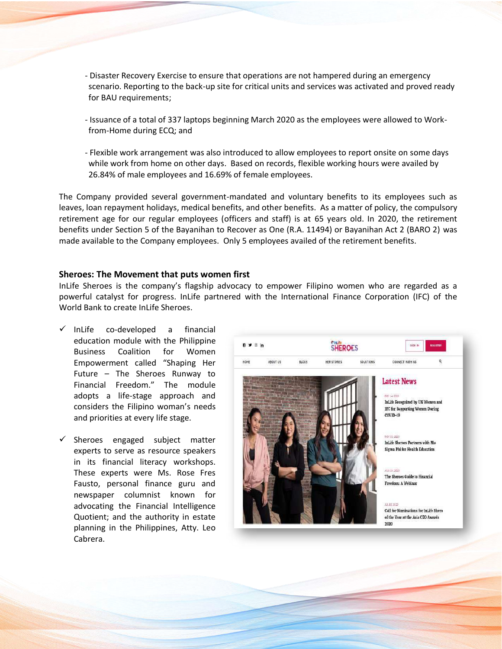- Disaster Recovery Exercise to ensure that operations are not hampered during an emergency scenario. Reporting to the back-up site for critical units and services was activated and proved ready for BAU requirements;
- Issuance of a total of 337 laptops beginning March 2020 as the employees were allowed to Workfrom-Home during ECQ; and
- Flexible work arrangement was also introduced to allow employees to report onsite on some days while work from home on other days. Based on records, flexible working hours were availed by 26.84% of male employees and 16.69% of female employees.

The Company provided several government-mandated and voluntary benefits to its employees such as leaves, loan repayment holidays, medical benefits, and other benefits. As a matter of policy, the compulsory retirement age for our regular employees (officers and staff) is at 65 years old. In 2020, the retirement benefits under Section 5 of the Bayanihan to Recover as One (R.A. 11494) or Bayanihan Act 2 (BARO 2) was made available to the Company employees. Only 5 employees availed of the retirement benefits.

#### **Sheroes: The Movement that puts women first**

InLife Sheroes is the company's flagship advocacy to empower Filipino women who are regarded as a powerful catalyst for progress. InLife partnered with the International Finance Corporation (IFC) of the World Bank to create InLife Sheroes.

- ✓ InLife co-developed a financial education module with the Philippine Business Coalition for Women Empowerment called "Shaping Her Future – The Sheroes Runway to Financial Freedom." The module adopts a life-stage approach and considers the Filipino woman's needs and priorities at every life stage.
- $\checkmark$  Sheroes engaged subject matter experts to serve as resource speakers in its financial literacy workshops. These experts were Ms. Rose Fres Fausto, personal finance guru and newspaper columnist known for advocating the Financial Intelligence Quotient; and the authority in estate planning in the Philippines, Atty. Leo Cabrera.

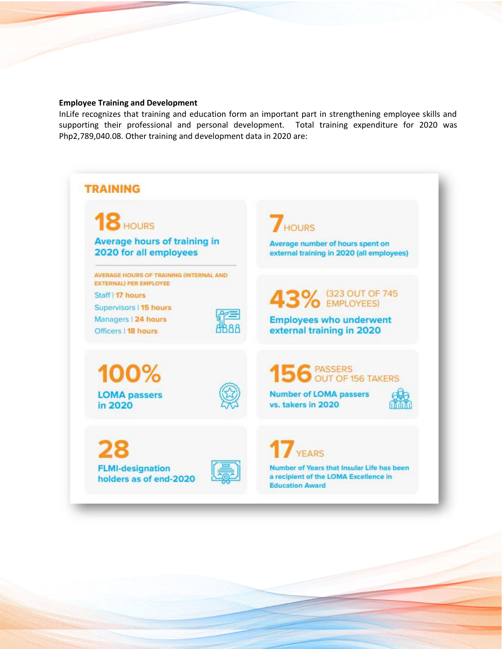#### **Employee Training and Development**

InLife recognizes that training and education form an important part in strengthening employee skills and supporting their professional and personal development. Total training expenditure for 2020 was Php2,789,040.08. Other training and development data in 2020 are:

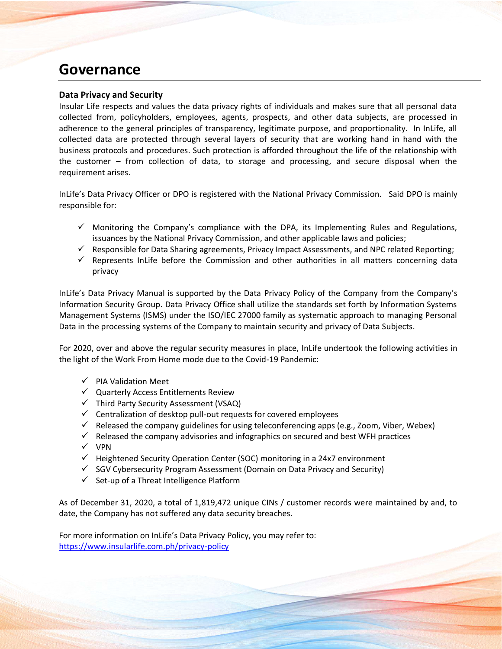### **Governance**

#### **Data Privacy and Security**

Insular Life respects and values the data privacy rights of individuals and makes sure that all personal data collected from, policyholders, employees, agents, prospects, and other data subjects, are processed in adherence to the general principles of transparency, legitimate purpose, and proportionality. In InLife, all collected data are protected through several layers of security that are working hand in hand with the business protocols and procedures. Such protection is afforded throughout the life of the relationship with the customer – from collection of data, to storage and processing, and secure disposal when the requirement arises.

InLife's Data Privacy Officer or DPO is registered with the National Privacy Commission. Said DPO is mainly responsible for:

- $\checkmark$  Monitoring the Company's compliance with the DPA, its Implementing Rules and Regulations, issuances by the National Privacy Commission, and other applicable laws and policies;
- $\checkmark$  Responsible for Data Sharing agreements, Privacy Impact Assessments, and NPC related Reporting;
- $\checkmark$  Represents InLife before the Commission and other authorities in all matters concerning data privacy

InLife's Data Privacy Manual is supported by the Data Privacy Policy of the Company from the Company's Information Security Group. Data Privacy Office shall utilize the standards set forth by Information Systems Management Systems (ISMS) under the ISO/IEC 27000 family as systematic approach to managing Personal Data in the processing systems of the Company to maintain security and privacy of Data Subjects.

For 2020, over and above the regular security measures in place, InLife undertook the following activities in the light of the Work From Home mode due to the Covid-19 Pandemic:

- ✓ PIA Validation Meet
- ✓ Quarterly Access Entitlements Review
- ✓ Third Party Security Assessment (VSAQ)
- ✓ Centralization of desktop pull-out requests for covered employees
- $\checkmark$  Released the company guidelines for using teleconferencing apps (e.g., Zoom, Viber, Webex)
- $\checkmark$  Released the company advisories and infographics on secured and best WFH practices
- ✓ VPN
- ✓ Heightened Security Operation Center (SOC) monitoring in a 24x7 environment
- $\checkmark$  SGV Cybersecurity Program Assessment (Domain on Data Privacy and Security)
- $\checkmark$  Set-up of a Threat Intelligence Platform

As of December 31, 2020, a total of 1,819,472 unique CINs / customer records were maintained by and, to date, the Company has not suffered any data security breaches.

For more information on InLife's Data Privacy Policy, you may refer to: <https://www.insularlife.com.ph/privacy-policy>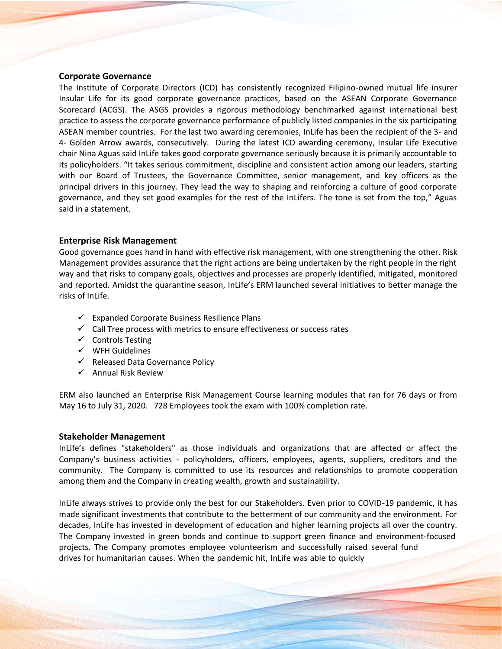#### **Corporate Governance**

The Institute of Corporate Directors (ICD) has consistently recognized Filipino-owned mutual life insurer Insular Life for its good corporate governance practices, based on the ASEAN Corporate Governance Scorecard (ACGS). The ASGS provides a rigorous methodology benchmarked against international best practice to assess the corporate governance performance of publicly listed companies in the six participating ASEAN member countries. For the last two awarding ceremonies, InLife has been the recipient of the 3- and 4- Golden Arrow awards, consecutively. During the latest ICD awarding ceremony, Insular Life Executive chair Nina Aguas said InLife takes good corporate governance seriously because it is primarily accountable to its policyholders. "It takes serious commitment, discipline and consistent action among our leaders, starting with our Board of Trustees, the Governance Committee, senior management, and key officers as the principal drivers in this journey. They lead the way to shaping and reinforcing a culture of good corporate governance, and they set good examples for the rest of the InLifers. The tone is set from the top," Aguas said in a statement.

#### **Enterprise Risk Management**

Good governance goes hand in hand with effective risk management, with one strengthening the other. Risk Management provides assurance that the right actions are being undertaken by the right people in the right way and that risks to company goals, objectives and processes are properly identified, mitigated, monitored and reported. Amidst the quarantine season, InLife's ERM launched several initiatives to better manage the risks of InLife.

- $\checkmark$  Expanded Corporate Business Resilience Plans
- ✓ Call Tree process with metrics to ensure effectiveness or success rates
- ✓ Controls Testing
- ✓ WFH Guidelines
- ✓ Released Data Governance Policy
- $\checkmark$  Annual Risk Review

ERM also launched an Enterprise Risk Management Course learning modules that ran for 76 days or from May 16 to July 31, 2020. 728 Employees took the exam with 100% completion rate.

#### **Stakeholder Management**

InLife's defines "stakeholders" as those individuals and organizations that are affected or affect the Company's business activities - policyholders, officers, employees, agents, suppliers, creditors and the community. The Company is committed to use its resources and relationships to promote cooperation among them and the Company in creating wealth, growth and sustainability.

InLife always strives to provide only the best for our Stakeholders. Even prior to COVID-19 pandemic, it has made significant investments that contribute to the betterment of our community and the environment. For decades, InLife has invested in development of education and higher learning projects all over the country. The Company invested in green bonds and continue to support green finance and environment-focused projects. The Company promotes employee volunteerism and successfully raised several fund drives for humanitarian causes. When the pandemic hit, InLife was able to quickly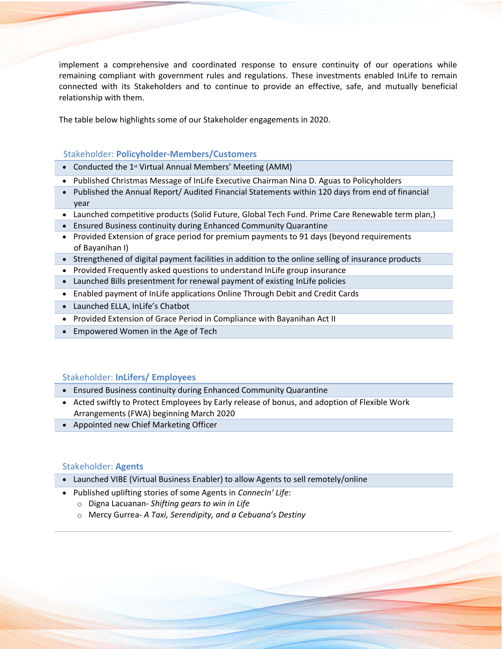implement a comprehensive and coordinated response to ensure continuity of our operations while remaining compliant with government rules and regulations. These investments enabled InLife to remain connected with its Stakeholders and to continue to provide an effective, safe, and mutually beneficial relationship with them.

The table below highlights some of our Stakeholder engagements in 2020.

#### Stakeholder: **Policyholder-Members/Customers**

- Conducted the 1<sup>st</sup> Virtual Annual Members' Meeting (AMM)
- Published Christmas Message of InLife Executive Chairman Nina D. Aguas to Policyholders
- Published the Annual Report/ Audited Financial Statements within 120 days from end of financial year
- Launched competitive products (Solid Future, Global Tech Fund. Prime Care Renewable term plan,)
- Ensured Business continuity during Enhanced Community Quarantine
- Provided Extension of grace period for premium payments to 91 days (beyond requirements of Bayanihan I)
- Strengthened of digital payment facilities in addition to the online selling of insurance products
- Provided Frequently asked questions to understand InLife group insurance
- Launched Bills presentment for renewal payment of existing InLife policies
- Enabled payment of InLife applications Online Through Debit and Credit Cards
- Launched ELLA, InLife's Chatbot
- Provided Extension of Grace Period in Compliance with Bayanihan Act II
- Empowered Women in the Age of Tech

### Stakeholder: **InLifers/ Employees**

- Ensured Business continuity during Enhanced Community Quarantine
- Acted swiftly to Protect Employees by Early release of bonus, and adoption of Flexible Work Arrangements (FWA) beginning March 2020
- Appointed new Chief Marketing Officer

### Stakeholder: **Agents**

- Launched VIBE (Virtual Business Enabler) to allow Agents to sell remotely/online
- Published uplifting stories of some Agents in *ConnecIn' Life*:
	- o Digna Lacuanan- *Shifting gears to win in Life*
	- o Mercy Gurrea- *A Taxi, Serendipity, and a Cebuana's Destiny*